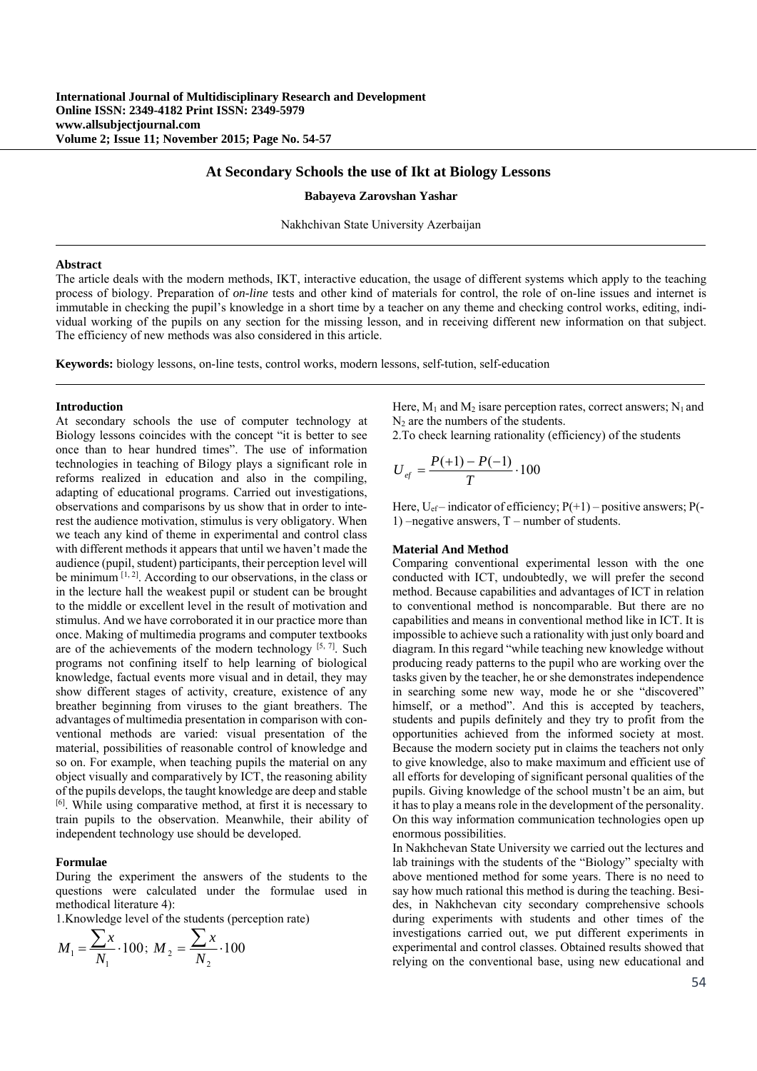### **At Secondary Schools the use of Ikt at Biology Lessons**

#### **Babayeva Zarovshan Yashar**

Nakhchivan State University Azerbaijan

### **Abstract**

The article deals with the modern methods, IKT, interactive education, the usage of different systems which apply to the teaching process of biology. Preparation of *on-line* tests and other kind of materials for control, the role of on-line issues and internet is immutable in checking the pupil's knowledge in a short time by a teacher on any theme and checking control works, editing, individual working of the pupils on any section for the missing lesson, and in receiving different new information on that subject. The efficiency of new methods was also considered in this article.

**Keywords:** biology lessons, on-line tests, control works, modern lessons, self-tution, self-education

#### **Introduction**

At secondary schools the use of computer technology at Biology lessons coincides with the concept "it is better to see once than to hear hundred times". The use of information technologies in teaching of Bilogy plays a significant role in reforms realized in education and also in the compiling, adapting of educational programs. Carried out investigations, observations and comparisons by us show that in order to interest the audience motivation, stimulus is very obligatory. When we teach any kind of theme in experimental and control class with different methods it appears that until we haven't made the audience (pupil, student) participants, their perception level will be minimum  $^{[1, 2]}$ . According to our observations, in the class or in the lecture hall the weakest pupil or student can be brought to the middle or excellent level in the result of motivation and stimulus. And we have corroborated it in our practice more than once. Making of multimedia programs and computer textbooks are of the achievements of the modern technology [5, 7]. Such programs not confining itself to help learning of biological knowledge, factual events more visual and in detail, they may show different stages of activity, creature, existence of any breather beginning from viruses to the giant breathers. The advantages of multimedia presentation in comparison with conventional methods are varied: visual presentation of the material, possibilities of reasonable control of knowledge and so on. For example, when teaching pupils the material on any object visually and comparatively by ICT, the reasoning ability of the pupils develops, the taught knowledge are deep and stable [6]. While using comparative method, at first it is necessary to train pupils to the observation. Meanwhile, their ability of independent technology use should be developed.

#### **Formulae**

During the experiment the answers of the students to the questions were calculated under the formulae used in methodical literature 4):

1.Knowledge level of the students (perception rate)

$$
M_1 = \frac{\sum x}{N_1} \cdot 100; \ M_2 = \frac{\sum x}{N_2} \cdot 100
$$

Here,  $M_1$  and  $M_2$  isare perception rates, correct answers; N<sub>1</sub> and N2 are the numbers of the students.

2.To check learning rationality (efficiency) of the students

$$
U_{\text{ef}} = \frac{P(+1) - P(-1)}{T} \cdot 100
$$

Here,  $U_{\text{ef}}$  – indicator of efficiency;  $P(+1)$  – positive answers;  $P(-$ 1) –negative answers, T – number of students.

### **Material And Method**

Comparing conventional experimental lesson with the one conducted with ICT, undoubtedly, we will prefer the second method. Because capabilities and advantages of ICT in relation to conventional method is noncomparable. But there are no capabilities and means in conventional method like in ICT. It is impossible to achieve such a rationality with just only board and diagram. In this regard "while teaching new knowledge without producing ready patterns to the pupil who are working over the tasks given by the teacher, he or she demonstrates independence in searching some new way, mode he or she "discovered" himself, or a method". And this is accepted by teachers, students and pupils definitely and they try to profit from the opportunities achieved from the informed society at most. Because the modern society put in claims the teachers not only to give knowledge, also to make maximum and efficient use of all efforts for developing of significant personal qualities of the pupils. Giving knowledge of the school mustn't be an aim, but it has to play a means role in the development of the personality. On this way information communication technologies open up enormous possibilities.

In Nakhchevan State University we carried out the lectures and lab trainings with the students of the "Biology" specialty with above mentioned method for some years. There is no need to say how much rational this method is during the teaching. Besides, in Nakhchevan city secondary comprehensive schools during experiments with students and other times of the investigations carried out, we put different experiments in experimental and control classes. Obtained results showed that relying on the conventional base, using new educational and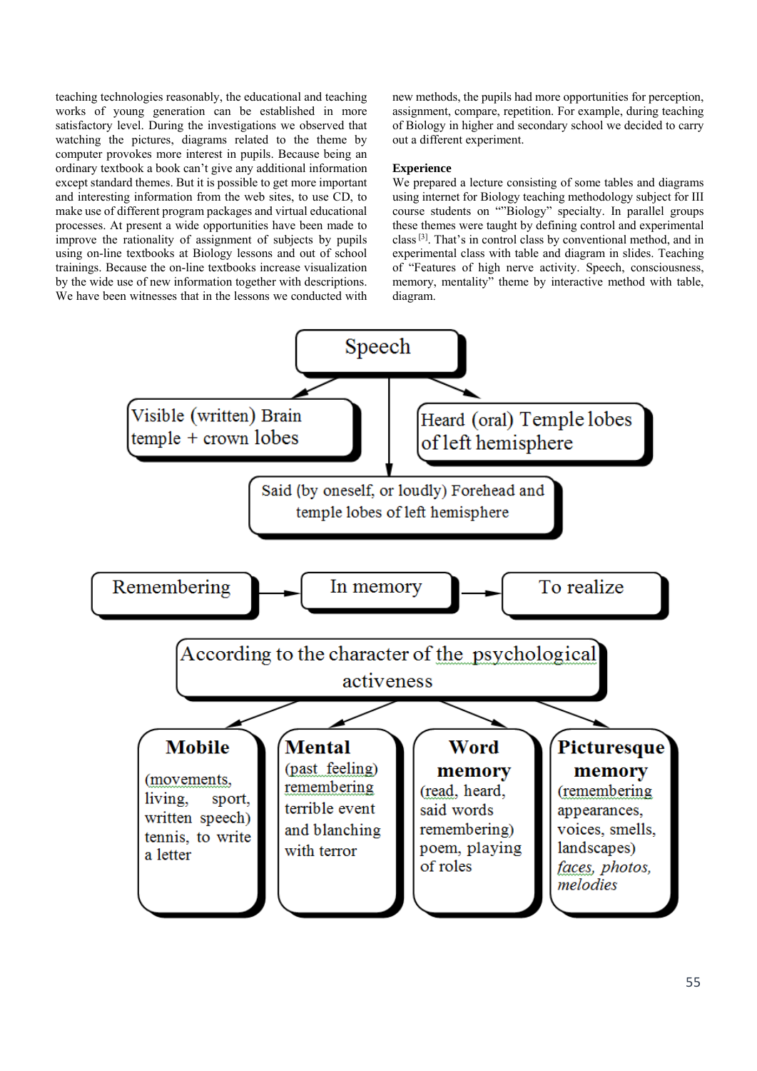teaching technologies reasonably, the educational and teaching works of young generation can be established in more satisfactory level. During the investigations we observed that watching the pictures, diagrams related to the theme by computer provokes more interest in pupils. Because being an ordinary textbook a book can't give any additional information except standard themes. But it is possible to get more important and interesting information from the web sites, to use CD, to make use of different program packages and virtual educational processes. At present a wide opportunities have been made to improve the rationality of assignment of subjects by pupils using on-line textbooks at Biology lessons and out of school trainings. Because the on-line textbooks increase visualization by the wide use of new information together with descriptions. We have been witnesses that in the lessons we conducted with

new methods, the pupils had more opportunities for perception, assignment, compare, repetition. For example, during teaching of Biology in higher and secondary school we decided to carry out a different experiment.

# **Experience**

We prepared a lecture consisting of some tables and diagrams using internet for Biology teaching methodology subject for III course students on ""Biology" specialty. In parallel groups these themes were taught by defining control and experimental class [3]. That's in control class by conventional method, and in experimental class with table and diagram in slides. Teaching of "Features of high nerve activity. Speech, consciousness, memory, mentality" theme by interactive method with table, diagram.

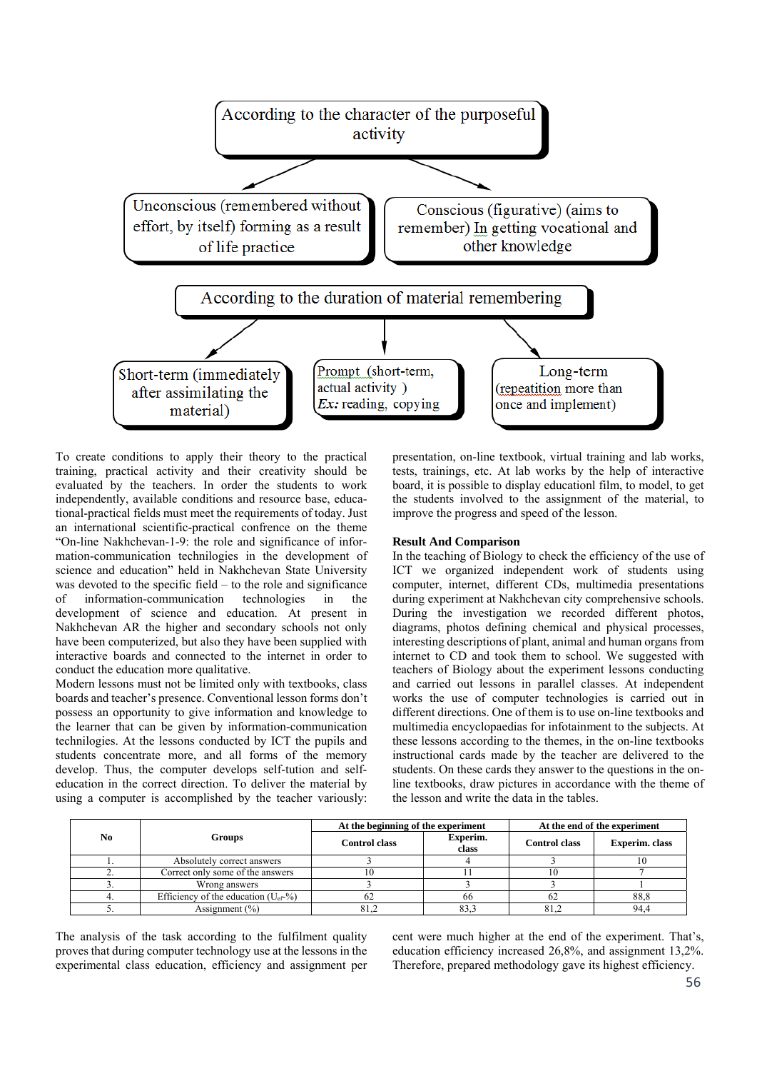

To create conditions to apply their theory to the practical training, practical activity and their creativity should be evaluated by the teachers. In order the students to work independently, available conditions and resource base, educational-practical fields must meet the requirements of today. Just an international scientific-practical confrence on the theme "On-line Nakhchevan-1-9: the role and significance of information-communication technilogies in the development of science and education" held in Nakhchevan State University was devoted to the specific field – to the role and significance of information-communication technologies in the development of science and education. At present in Nakhchevan AR the higher and secondary schools not only have been computerized, but also they have been supplied with interactive boards and connected to the internet in order to conduct the education more qualitative.

Modern lessons must not be limited only with textbooks, class boards and teacher's presence. Conventional lesson forms don't possess an opportunity to give information and knowledge to the learner that can be given by information-communication technilogies. At the lessons conducted by ICT the pupils and students concentrate more, and all forms of the memory develop. Thus, the computer develops self-tution and selfeducation in the correct direction. To deliver the material by using a computer is accomplished by the teacher variously:

presentation, on-line textbook, virtual training and lab works, tests, trainings, etc. At lab works by the help of interactive board, it is possible to display educationl film, to model, to get the students involved to the assignment of the material, to improve the progress and speed of the lesson.

# **Result And Comparison**

In the teaching of Biology to check the efficiency of the use of ICT we organized independent work of students using computer, internet, different CDs, multimedia presentations during experiment at Nakhchevan city comprehensive schools. During the investigation we recorded different photos, diagrams, photos defining chemical and physical processes, interesting descriptions of plant, animal and human organs from internet to CD and took them to school. We suggested with teachers of Biology about the experiment lessons conducting and carried out lessons in parallel classes. At independent works the use of computer technologies is carried out in different directions. One of them is to use on-line textbooks and multimedia encyclopaedias for infotainment to the subjects. At these lessons according to the themes, in the on-line textbooks instructional cards made by the teacher are delivered to the students. On these cards they answer to the questions in the online textbooks, draw pictures in accordance with the theme of the lesson and write the data in the tables.

| No | Groups                                    | At the beginning of the experiment |                   | At the end of the experiment |                |
|----|-------------------------------------------|------------------------------------|-------------------|------------------------------|----------------|
|    |                                           | <b>Control class</b>               | Experim.<br>class | <b>Control class</b>         | Experim. class |
|    | Absolutely correct answers                |                                    |                   |                              |                |
|    | Correct only some of the answers          |                                    |                   |                              |                |
|    | Wrong answers                             |                                    |                   |                              |                |
|    | Efficiency of the education $(U_{ef}$ -%) | 62                                 | 66                | 62                           | 88,8           |
|    | Assignment $(\% )$                        | 81,2                               | 83.3              | 81,2                         | 94.4           |

The analysis of the task according to the fulfilment quality proves that during computer technology use at the lessons in the experimental class education, efficiency and assignment per cent were much higher at the end of the experiment. That's, education efficiency increased 26,8%, and assignment 13,2%. Therefore, prepared methodology gave its highest efficiency.